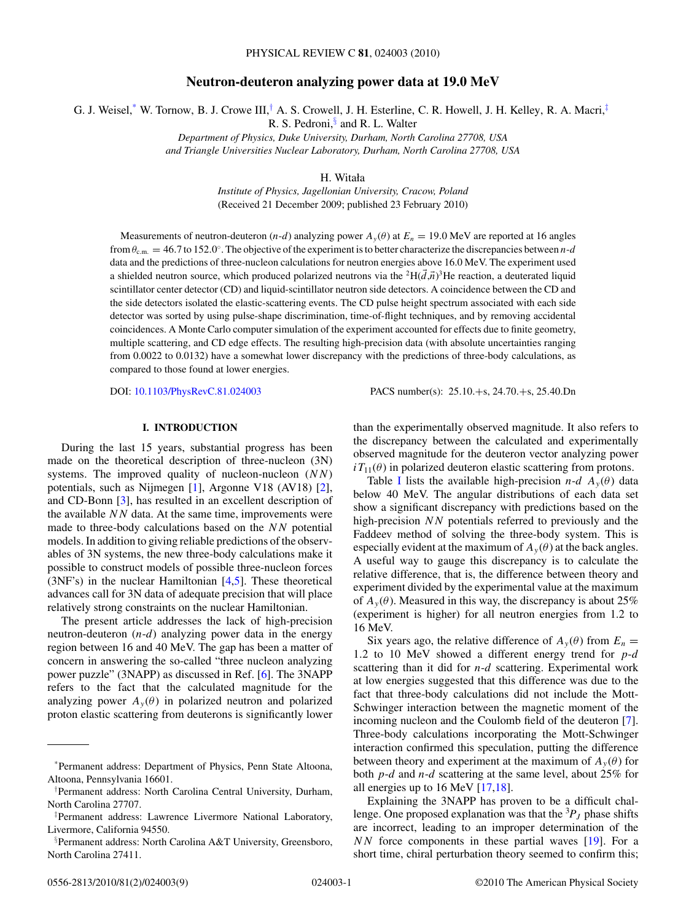# **Neutron-deuteron analyzing power data at 19.0 MeV**

G. J. Weisel,\* W. Tornow, B. J. Crowe III,† A. S. Crowell, J. H. Esterline, C. R. Howell, J. H. Kelley, R. A. Macri,‡

R. S. Pedroni,<sup>§</sup> and R. L. Walter

*Department of Physics, Duke University, Durham, North Carolina 27708, USA and Triangle Universities Nuclear Laboratory, Durham, North Carolina 27708, USA*

H. Witała

*Institute of Physics, Jagellonian University, Cracow, Poland* (Received 21 December 2009; published 23 February 2010)

Measurements of neutron-deuteron (*n*-*d*) analyzing power  $A_y(\theta)$  at  $E_n = 19.0$  MeV are reported at 16 angles from *θ*c*.*m*.* = 46*.*7 to 152*.*0◦. The objective of the experiment is to better characterize the discrepancies between *n*-*d* data and the predictions of three-nucleon calculations for neutron energies above 16.0 MeV. The experiment used a shielded neutron source, which produced polarized neutrons via the <sup>2</sup>H( $\vec{d}$ , $\vec{n}$ )<sup>3</sup>He reaction, a deuterated liquid scintillator center detector (CD) and liquid-scintillator neutron side detectors. A coincidence between the CD and the side detectors isolated the elastic-scattering events. The CD pulse height spectrum associated with each side detector was sorted by using pulse-shape discrimination, time-of-flight techniques, and by removing accidental coincidences. A Monte Carlo computer simulation of the experiment accounted for effects due to finite geometry, multiple scattering, and CD edge effects. The resulting high-precision data (with absolute uncertainties ranging from 0.0022 to 0.0132) have a somewhat lower discrepancy with the predictions of three-body calculations, as compared to those found at lower energies.

DOI: [10.1103/PhysRevC.81.024003](http://dx.doi.org/10.1103/PhysRevC.81.024003) PACS number(s): 25*.*10*.*+s, 24*.*70*.*+s, 25*.*40*.*Dn

# **I. INTRODUCTION**

During the last 15 years, substantial progress has been made on the theoretical description of three-nucleon (3N) systems. The improved quality of nucleon-nucleon (*NN*) potentials, such as Nijmegen [\[1\]](#page-8-0), Argonne V18 (AV18) [\[2\]](#page-8-0), and CD-Bonn [\[3\]](#page-8-0), has resulted in an excellent description of the available *NN* data. At the same time, improvements were made to three-body calculations based on the *NN* potential models. In addition to giving reliable predictions of the observables of 3N systems, the new three-body calculations make it possible to construct models of possible three-nucleon forces (3NF's) in the nuclear Hamiltonian [\[4,5\]](#page-8-0). These theoretical advances call for 3N data of adequate precision that will place relatively strong constraints on the nuclear Hamiltonian.

The present article addresses the lack of high-precision neutron-deuteron (*n*-*d*) analyzing power data in the energy region between 16 and 40 MeV. The gap has been a matter of concern in answering the so-called "three nucleon analyzing power puzzle" (3NAPP) as discussed in Ref. [\[6\]](#page-8-0). The 3NAPP refers to the fact that the calculated magnitude for the analyzing power  $A_y(\theta)$  in polarized neutron and polarized proton elastic scattering from deuterons is significantly lower

than the experimentally observed magnitude. It also refers to the discrepancy between the calculated and experimentally observed magnitude for the deuteron vector analyzing power  $iT_{11}(\theta)$  in polarized deuteron elastic scattering from protons.

Table [I](#page-1-0) lists the available high-precision *n-d*  $A_y(\theta)$  data below 40 MeV. The angular distributions of each data set show a significant discrepancy with predictions based on the high-precision *NN* potentials referred to previously and the Faddeev method of solving the three-body system. This is especially evident at the maximum of  $A_y(\theta)$  at the back angles. A useful way to gauge this discrepancy is to calculate the relative difference, that is, the difference between theory and experiment divided by the experimental value at the maximum of  $A_y(\theta)$ . Measured in this way, the discrepancy is about 25% (experiment is higher) for all neutron energies from 1.2 to 16 MeV.

Six years ago, the relative difference of  $A_y(\theta)$  from  $E_n =$ 1*.*2 to 10 MeV showed a different energy trend for *p*-*d* scattering than it did for *n*-*d* scattering. Experimental work at low energies suggested that this difference was due to the fact that three-body calculations did not include the Mott-Schwinger interaction between the magnetic moment of the incoming nucleon and the Coulomb field of the deuteron [\[7\]](#page-8-0). Three-body calculations incorporating the Mott-Schwinger interaction confirmed this speculation, putting the difference between theory and experiment at the maximum of  $A_y(\theta)$  for both *p*-*d* and *n*-*d* scattering at the same level, about 25% for all energies up to 16 MeV [\[17,18\]](#page-8-0).

Explaining the 3NAPP has proven to be a difficult challenge. One proposed explanation was that the  ${}^{3}P_J$  phase shifts are incorrect, leading to an improper determination of the *NN* force components in these partial waves [\[19\]](#page-8-0). For a short time, chiral perturbation theory seemed to confirm this;

<sup>\*</sup>Permanent address: Department of Physics, Penn State Altoona, Altoona, Pennsylvania 16601.

<sup>†</sup> Permanent address: North Carolina Central University, Durham, North Carolina 27707.

<sup>‡</sup> Permanent address: Lawrence Livermore National Laboratory, Livermore, California 94550.

<sup>§</sup> Permanent address: North Carolina A&T University, Greensboro, North Carolina 27411.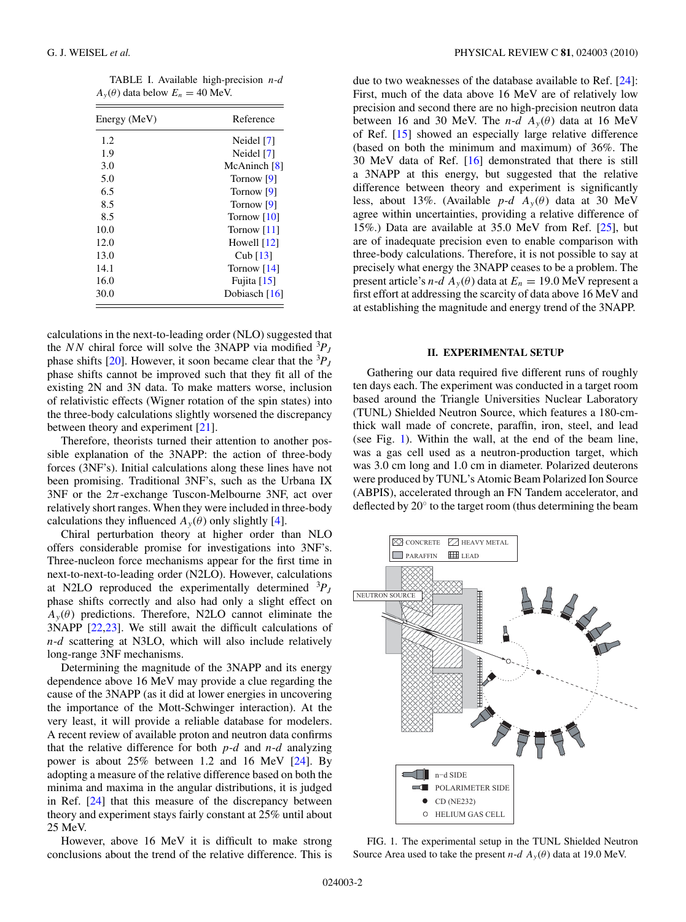<span id="page-1-0"></span>TABLE I. Available high-precision *n*-*d*  $A_y(\theta)$  data below  $E_n = 40$  MeV.

| Energy (MeV) | Reference      |
|--------------|----------------|
| 1.2          | Neidel [7]     |
| 1.9          | Neidel [7]     |
| 3.0          | McAninch $[8]$ |
| 5.0          | Tornow [9]     |
| 6.5          | Tornow [9]     |
| 8.5          | Tornow [9]     |
| 8.5          | Tornow [10]    |
| 10.0         | Tornow [11]    |
| 12.0         | Howell $[12]$  |
| 13.0         | Cub $[13]$     |
| 14.1         | Tornow $[14]$  |
| 16.0         | Fujita $[15]$  |
| 30.0         | Dobiasch [16]  |

calculations in the next-to-leading order (NLO) suggested that the *NN* chiral force will solve the 3NAPP via modified  ${}^{3}P_J$ phase shifts [\[20\]](#page-8-0). However, it soon became clear that the  ${}^{3}P_J$ phase shifts cannot be improved such that they fit all of the existing 2N and 3N data. To make matters worse, inclusion of relativistic effects (Wigner rotation of the spin states) into the three-body calculations slightly worsened the discrepancy between theory and experiment [\[21\]](#page-8-0).

Therefore, theorists turned their attention to another possible explanation of the 3NAPP: the action of three-body forces (3NF's). Initial calculations along these lines have not been promising. Traditional 3NF's, such as the Urbana IX  $3NF$  or the  $2\pi$ -exchange Tuscon-Melbourne  $3NF$ , act over relatively short ranges. When they were included in three-body calculations they influenced  $A_y(\theta)$  only slightly [\[4\]](#page-8-0).

Chiral perturbation theory at higher order than NLO offers considerable promise for investigations into 3NF's. Three-nucleon force mechanisms appear for the first time in next-to-next-to-leading order (N2LO). However, calculations at N2LO reproduced the experimentally determined  ${}^{3}P_J$ phase shifts correctly and also had only a slight effect on  $A_y(\theta)$  predictions. Therefore, N2LO cannot eliminate the 3NAPP [\[22,23\]](#page-8-0). We still await the difficult calculations of *n*-*d* scattering at N3LO, which will also include relatively long-range 3NF mechanisms.

Determining the magnitude of the 3NAPP and its energy dependence above 16 MeV may provide a clue regarding the cause of the 3NAPP (as it did at lower energies in uncovering the importance of the Mott-Schwinger interaction). At the very least, it will provide a reliable database for modelers. A recent review of available proton and neutron data confirms that the relative difference for both *p*-*d* and *n*-*d* analyzing power is about 25% between 1.2 and 16 MeV [\[24\]](#page-8-0). By adopting a measure of the relative difference based on both the minima and maxima in the angular distributions, it is judged in Ref. [\[24\]](#page-8-0) that this measure of the discrepancy between theory and experiment stays fairly constant at 25% until about 25 MeV.

However, above 16 MeV it is difficult to make strong conclusions about the trend of the relative difference. This is

due to two weaknesses of the database available to Ref. [\[24\]](#page-8-0): First, much of the data above 16 MeV are of relatively low precision and second there are no high-precision neutron data between 16 and 30 MeV. The *n-d*  $A_y(\theta)$  data at 16 MeV of Ref. [\[15\]](#page-8-0) showed an especially large relative difference (based on both the minimum and maximum) of 36%. The 30 MeV data of Ref. [\[16\]](#page-8-0) demonstrated that there is still a 3NAPP at this energy, but suggested that the relative difference between theory and experiment is significantly less, about 13%. (Available  $p-d \, A_y(\theta)$  data at 30 MeV agree within uncertainties, providing a relative difference of 15%.) Data are available at 35.0 MeV from Ref. [\[25\]](#page-8-0), but are of inadequate precision even to enable comparison with three-body calculations. Therefore, it is not possible to say at precisely what energy the 3NAPP ceases to be a problem. The present article's  $n-d A_y(\theta)$  data at  $E_n = 19.0$  MeV represent a first effort at addressing the scarcity of data above 16 MeV and at establishing the magnitude and energy trend of the 3NAPP.

### **II. EXPERIMENTAL SETUP**

Gathering our data required five different runs of roughly ten days each. The experiment was conducted in a target room based around the Triangle Universities Nuclear Laboratory (TUNL) Shielded Neutron Source, which features a 180-cmthick wall made of concrete, paraffin, iron, steel, and lead (see Fig. 1). Within the wall, at the end of the beam line, was a gas cell used as a neutron-production target, which was 3.0 cm long and 1.0 cm in diameter. Polarized deuterons were produced by TUNL's Atomic Beam Polarized Ion Source (ABPIS), accelerated through an FN Tandem accelerator, and deflected by 20◦ to the target room (thus determining the beam



FIG. 1. The experimental setup in the TUNL Shielded Neutron Source Area used to take the present  $n-d \, A_y(\theta)$  data at 19.0 MeV.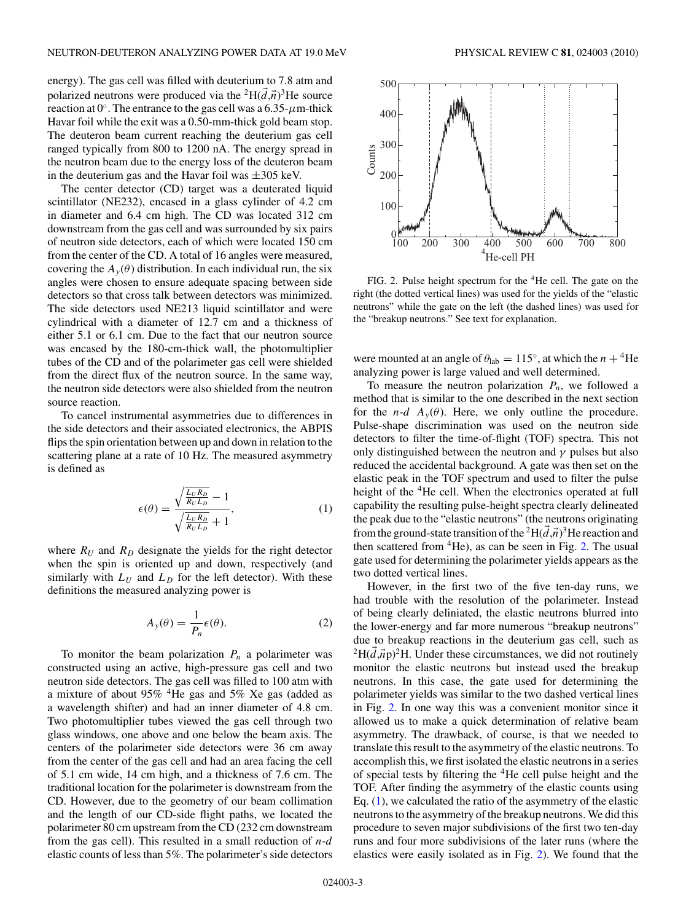<span id="page-2-0"></span>energy). The gas cell was filled with deuterium to 7.8 atm and polarized neutrons were produced via the <sup>2</sup>H( $\vec{d}$ , $\vec{n}$ )<sup>3</sup>He source reaction at  $0^\circ$ . The entrance to the gas cell was a  $6.35$ - $\mu$ m-thick Havar foil while the exit was a 0.50-mm-thick gold beam stop. The deuteron beam current reaching the deuterium gas cell ranged typically from 800 to 1200 nA. The energy spread in the neutron beam due to the energy loss of the deuteron beam in the deuterium gas and the Havar foil was  $\pm 305$  keV.

The center detector (CD) target was a deuterated liquid scintillator (NE232), encased in a glass cylinder of 4.2 cm in diameter and 6.4 cm high. The CD was located 312 cm downstream from the gas cell and was surrounded by six pairs of neutron side detectors, each of which were located 150 cm from the center of the CD. A total of 16 angles were measured, covering the  $A_y(\theta)$  distribution. In each individual run, the six angles were chosen to ensure adequate spacing between side detectors so that cross talk between detectors was minimized. The side detectors used NE213 liquid scintillator and were cylindrical with a diameter of 12.7 cm and a thickness of either 5.1 or 6.1 cm. Due to the fact that our neutron source was encased by the 180-cm-thick wall, the photomultiplier tubes of the CD and of the polarimeter gas cell were shielded from the direct flux of the neutron source. In the same way, the neutron side detectors were also shielded from the neutron source reaction.

To cancel instrumental asymmetries due to differences in the side detectors and their associated electronics, the ABPIS flips the spin orientation between up and down in relation to the scattering plane at a rate of 10 Hz. The measured asymmetry is defined as

$$
\epsilon(\theta) = \frac{\sqrt{\frac{L_U R_D}{R_U L_D}} - 1}{\sqrt{\frac{L_U R_D}{R_U L_D}} + 1},\tag{1}
$$

where  $R_U$  and  $R_D$  designate the yields for the right detector when the spin is oriented up and down, respectively (and similarly with  $L_U$  and  $L_D$  for the left detector). With these definitions the measured analyzing power is

$$
A_{y}(\theta) = \frac{1}{P_{n}} \epsilon(\theta). \tag{2}
$$

To monitor the beam polarization  $P_n$  a polarimeter was constructed using an active, high-pressure gas cell and two neutron side detectors. The gas cell was filled to 100 atm with a mixture of about 95% 4He gas and 5% Xe gas (added as a wavelength shifter) and had an inner diameter of 4.8 cm. Two photomultiplier tubes viewed the gas cell through two glass windows, one above and one below the beam axis. The centers of the polarimeter side detectors were 36 cm away from the center of the gas cell and had an area facing the cell of 5.1 cm wide, 14 cm high, and a thickness of 7.6 cm. The traditional location for the polarimeter is downstream from the CD. However, due to the geometry of our beam collimation and the length of our CD-side flight paths, we located the polarimeter 80 cm upstream from the CD (232 cm downstream from the gas cell). This resulted in a small reduction of *n*-*d* elastic counts of less than 5%. The polarimeter's side detectors



FIG. 2. Pulse height spectrum for the <sup>4</sup>He cell. The gate on the right (the dotted vertical lines) was used for the yields of the "elastic neutrons" while the gate on the left (the dashed lines) was used for the "breakup neutrons." See text for explanation.

were mounted at an angle of  $\theta_{lab} = 115^\circ$ , at which the  $n + {}^4He$ analyzing power is large valued and well determined.

To measure the neutron polarization  $P_n$ , we followed a method that is similar to the one described in the next section for the *n*-*d*  $A_y(\theta)$ . Here, we only outline the procedure. Pulse-shape discrimination was used on the neutron side detectors to filter the time-of-flight (TOF) spectra. This not only distinguished between the neutron and  $\gamma$  pulses but also reduced the accidental background. A gate was then set on the elastic peak in the TOF spectrum and used to filter the pulse height of the <sup>4</sup>He cell. When the electronics operated at full capability the resulting pulse-height spectra clearly delineated the peak due to the "elastic neutrons" (the neutrons originating from the ground-state transition of the <sup>2</sup>H( $\vec{d}$ , $\vec{n}$ )<sup>3</sup>He reaction and then scattered from  ${}^{4}$ He), as can be seen in Fig. 2. The usual gate used for determining the polarimeter yields appears as the two dotted vertical lines.

However, in the first two of the five ten-day runs, we had trouble with the resolution of the polarimeter. Instead of being clearly deliniated, the elastic neutrons blurred into the lower-energy and far more numerous "breakup neutrons" due to breakup reactions in the deuterium gas cell, such as  ${}^{2}H(\vec{d},\vec{n}p)^{2}H$ . Under these circumstances, we did not routinely monitor the elastic neutrons but instead used the breakup neutrons. In this case, the gate used for determining the polarimeter yields was similar to the two dashed vertical lines in Fig. 2. In one way this was a convenient monitor since it allowed us to make a quick determination of relative beam asymmetry. The drawback, of course, is that we needed to translate this result to the asymmetry of the elastic neutrons. To accomplish this, we first isolated the elastic neutrons in a series of special tests by filtering the <sup>4</sup>He cell pulse height and the TOF. After finding the asymmetry of the elastic counts using Eq.  $(1)$ , we calculated the ratio of the asymmetry of the elastic neutrons to the asymmetry of the breakup neutrons. We did this procedure to seven major subdivisions of the first two ten-day runs and four more subdivisions of the later runs (where the elastics were easily isolated as in Fig. 2). We found that the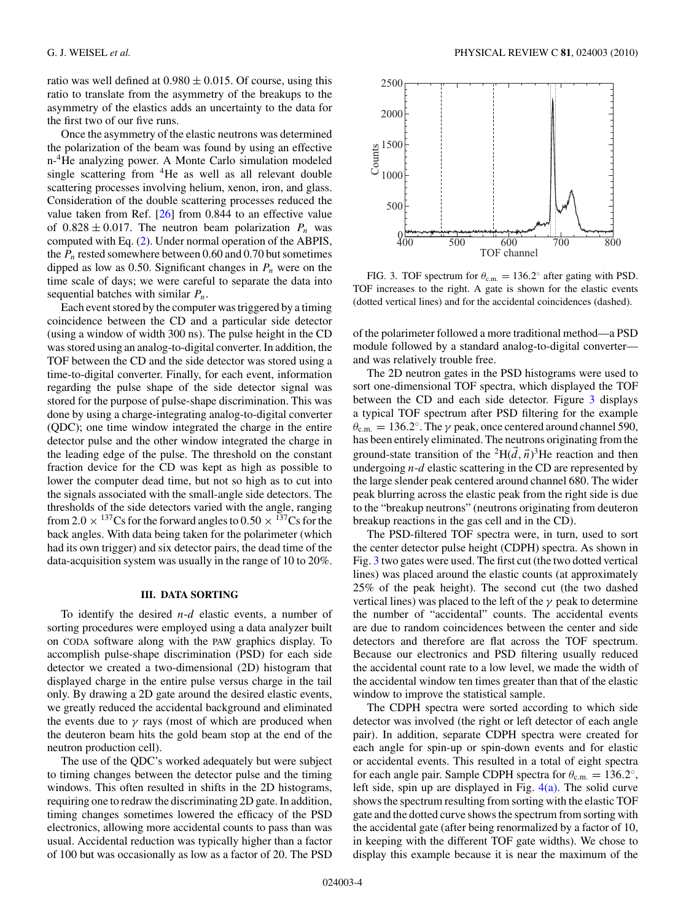<span id="page-3-0"></span>ratio was well defined at  $0.980 \pm 0.015$ . Of course, using this ratio to translate from the asymmetry of the breakups to the asymmetry of the elastics adds an uncertainty to the data for the first two of our five runs.

Once the asymmetry of the elastic neutrons was determined the polarization of the beam was found by using an effective n-<sup>4</sup>He analyzing power. A Monte Carlo simulation modeled single scattering from 4He as well as all relevant double scattering processes involving helium, xenon, iron, and glass. Consideration of the double scattering processes reduced the value taken from Ref.  $[26]$  from 0.844 to an effective value of  $0.828 \pm 0.017$ . The neutron beam polarization  $P_n$  was computed with Eq. [\(2\)](#page-2-0). Under normal operation of the ABPIS, the  $P_n$  rested somewhere between 0.60 and 0.70 but sometimes dipped as low as 0.50. Significant changes in  $P_n$  were on the time scale of days; we were careful to separate the data into sequential batches with similar *Pn*.

Each event stored by the computer was triggered by a timing coincidence between the CD and a particular side detector (using a window of width 300 ns). The pulse height in the CD was stored using an analog-to-digital converter. In addition, the TOF between the CD and the side detector was stored using a time-to-digital converter. Finally, for each event, information regarding the pulse shape of the side detector signal was stored for the purpose of pulse-shape discrimination. This was done by using a charge-integrating analog-to-digital converter (QDC); one time window integrated the charge in the entire detector pulse and the other window integrated the charge in the leading edge of the pulse. The threshold on the constant fraction device for the CD was kept as high as possible to lower the computer dead time, but not so high as to cut into the signals associated with the small-angle side detectors. The thresholds of the side detectors varied with the angle, ranging from 2.0  $\times$  <sup>137</sup>Cs for the forward angles to 0.50  $\times$  <sup>137</sup>Cs for the back angles. With data being taken for the polarimeter (which had its own trigger) and six detector pairs, the dead time of the data-acquisition system was usually in the range of 10 to 20%.

## **III. DATA SORTING**

To identify the desired *n*-*d* elastic events, a number of sorting procedures were employed using a data analyzer built on CODA software along with the PAW graphics display. To accomplish pulse-shape discrimination (PSD) for each side detector we created a two-dimensional (2D) histogram that displayed charge in the entire pulse versus charge in the tail only. By drawing a 2D gate around the desired elastic events, we greatly reduced the accidental background and eliminated the events due to  $\gamma$  rays (most of which are produced when the deuteron beam hits the gold beam stop at the end of the neutron production cell).

The use of the QDC's worked adequately but were subject to timing changes between the detector pulse and the timing windows. This often resulted in shifts in the 2D histograms, requiring one to redraw the discriminating 2D gate. In addition, timing changes sometimes lowered the efficacy of the PSD electronics, allowing more accidental counts to pass than was usual. Accidental reduction was typically higher than a factor of 100 but was occasionally as low as a factor of 20. The PSD



FIG. 3. TOF spectrum for  $\theta_{\text{c.m.}} = 136.2^\circ$  after gating with PSD. TOF increases to the right. A gate is shown for the elastic events (dotted vertical lines) and for the accidental coincidences (dashed).

of the polarimeter followed a more traditional method—a PSD module followed by a standard analog-to-digital converter and was relatively trouble free.

The 2D neutron gates in the PSD histograms were used to sort one-dimensional TOF spectra, which displayed the TOF between the CD and each side detector. Figure 3 displays a typical TOF spectrum after PSD filtering for the example  $\theta_{\rm c.m.} = 136.2^\circ$ . The  $\gamma$  peak, once centered around channel 590, has been entirely eliminated. The neutrons originating from the ground-state transition of the <sup>2</sup>H( $\overrightarrow{d}$ ,  $\overrightarrow{n}$ )<sup>3</sup>He reaction and then undergoing *n*-*d* elastic scattering in the CD are represented by the large slender peak centered around channel 680. The wider peak blurring across the elastic peak from the right side is due to the "breakup neutrons" (neutrons originating from deuteron breakup reactions in the gas cell and in the CD).

The PSD-filtered TOF spectra were, in turn, used to sort the center detector pulse height (CDPH) spectra. As shown in Fig. 3 two gates were used. The first cut (the two dotted vertical lines) was placed around the elastic counts (at approximately 25% of the peak height). The second cut (the two dashed vertical lines) was placed to the left of the *γ* peak to determine the number of "accidental" counts. The accidental events are due to random coincidences between the center and side detectors and therefore are flat across the TOF spectrum. Because our electronics and PSD filtering usually reduced the accidental count rate to a low level, we made the width of the accidental window ten times greater than that of the elastic window to improve the statistical sample.

The CDPH spectra were sorted according to which side detector was involved (the right or left detector of each angle pair). In addition, separate CDPH spectra were created for each angle for spin-up or spin-down events and for elastic or accidental events. This resulted in a total of eight spectra for each angle pair. Sample CDPH spectra for  $\theta_{c.m.} = 136.2^\circ$ , left side, spin up are displayed in Fig.  $4(a)$ . The solid curve shows the spectrum resulting from sorting with the elastic TOF gate and the dotted curve shows the spectrum from sorting with the accidental gate (after being renormalized by a factor of 10, in keeping with the different TOF gate widths). We chose to display this example because it is near the maximum of the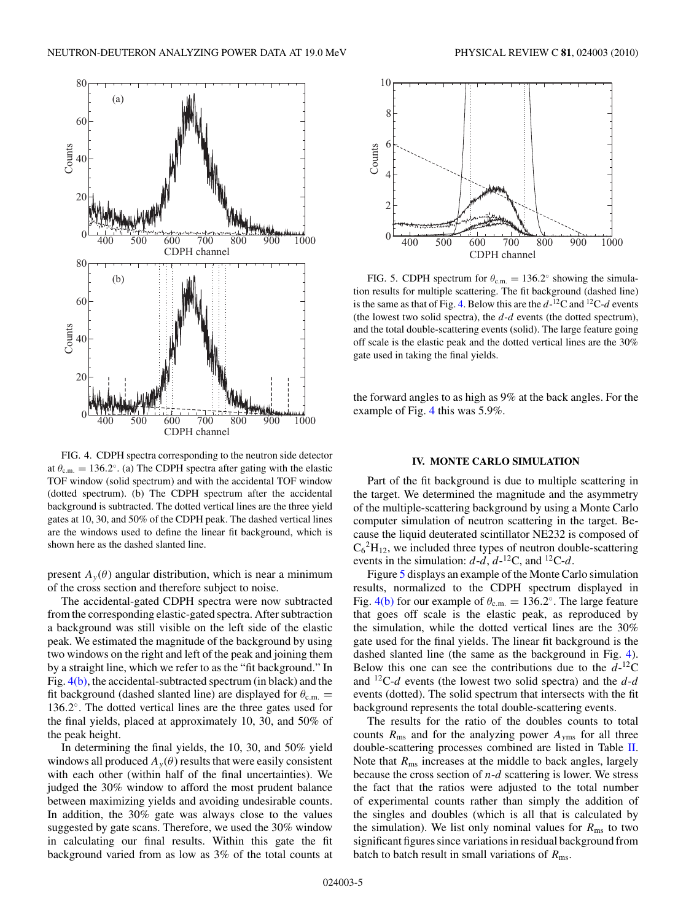<span id="page-4-0"></span>

FIG. 4. CDPH spectra corresponding to the neutron side detector at  $\theta_{\text{c.m.}} = 136.2^\circ$ . (a) The CDPH spectra after gating with the elastic TOF window (solid spectrum) and with the accidental TOF window (dotted spectrum). (b) The CDPH spectrum after the accidental background is subtracted. The dotted vertical lines are the three yield gates at 10, 30, and 50% of the CDPH peak. The dashed vertical lines are the windows used to define the linear fit background, which is shown here as the dashed slanted line.

present  $A_y(\theta)$  angular distribution, which is near a minimum of the cross section and therefore subject to noise.

The accidental-gated CDPH spectra were now subtracted from the corresponding elastic-gated spectra. After subtraction a background was still visible on the left side of the elastic peak. We estimated the magnitude of the background by using two windows on the right and left of the peak and joining them by a straight line, which we refer to as the "fit background." In Fig. 4(b), the accidental-subtracted spectrum (in black) and the fit background (dashed slanted line) are displayed for  $\theta_{c.m.}$  = 136*.*2◦. The dotted vertical lines are the three gates used for the final yields, placed at approximately 10, 30, and 50% of the peak height.

In determining the final yields, the 10, 30, and 50% yield windows all produced  $A_y(\theta)$  results that were easily consistent with each other (within half of the final uncertainties). We judged the 30% window to afford the most prudent balance between maximizing yields and avoiding undesirable counts. In addition, the 30% gate was always close to the values suggested by gate scans. Therefore, we used the 30% window in calculating our final results. Within this gate the fit background varied from as low as 3% of the total counts at



FIG. 5. CDPH spectrum for  $\theta_{\text{c.m.}} = 136.2^\circ$  showing the simulation results for multiple scattering. The fit background (dashed line) is the same as that of Fig. 4. Below this are the *d*-12C and 12C-*d* events (the lowest two solid spectra), the *d*-*d* events (the dotted spectrum), and the total double-scattering events (solid). The large feature going off scale is the elastic peak and the dotted vertical lines are the 30% gate used in taking the final yields.

the forward angles to as high as 9% at the back angles. For the example of Fig. 4 this was 5.9%.

### **IV. MONTE CARLO SIMULATION**

Part of the fit background is due to multiple scattering in the target. We determined the magnitude and the asymmetry of the multiple-scattering background by using a Monte Carlo computer simulation of neutron scattering in the target. Because the liquid deuterated scintillator NE232 is composed of  $C_6^2H_{12}$ , we included three types of neutron double-scattering events in the simulation:  $d-d$ ,  $d^{-12}C$ , and  $^{12}C-d$ .

Figure 5 displays an example of the Monte Carlo simulation results, normalized to the CDPH spectrum displayed in Fig. 4(b) for our example of  $\theta_{\text{c.m.}} = 136.2^\circ$ . The large feature that goes off scale is the elastic peak, as reproduced by the simulation, while the dotted vertical lines are the 30% gate used for the final yields. The linear fit background is the dashed slanted line (the same as the background in Fig. 4). Below this one can see the contributions due to the  $d$ -<sup>12</sup>C and 12C-*d* events (the lowest two solid spectra) and the *d*-*d* events (dotted). The solid spectrum that intersects with the fit background represents the total double-scattering events.

The results for the ratio of the doubles counts to total counts  $R_{\text{ms}}$  and for the analyzing power  $A_{\text{yms}}$  for all three double-scattering processes combined are listed in Table [II.](#page-5-0) Note that  $R_{\text{ms}}$  increases at the middle to back angles, largely because the cross section of *n*-*d* scattering is lower. We stress the fact that the ratios were adjusted to the total number of experimental counts rather than simply the addition of the singles and doubles (which is all that is calculated by the simulation). We list only nominal values for  $R_{\text{ms}}$  to two significant figures since variations in residual background from batch to batch result in small variations of  $R_{\text{ms}}$ .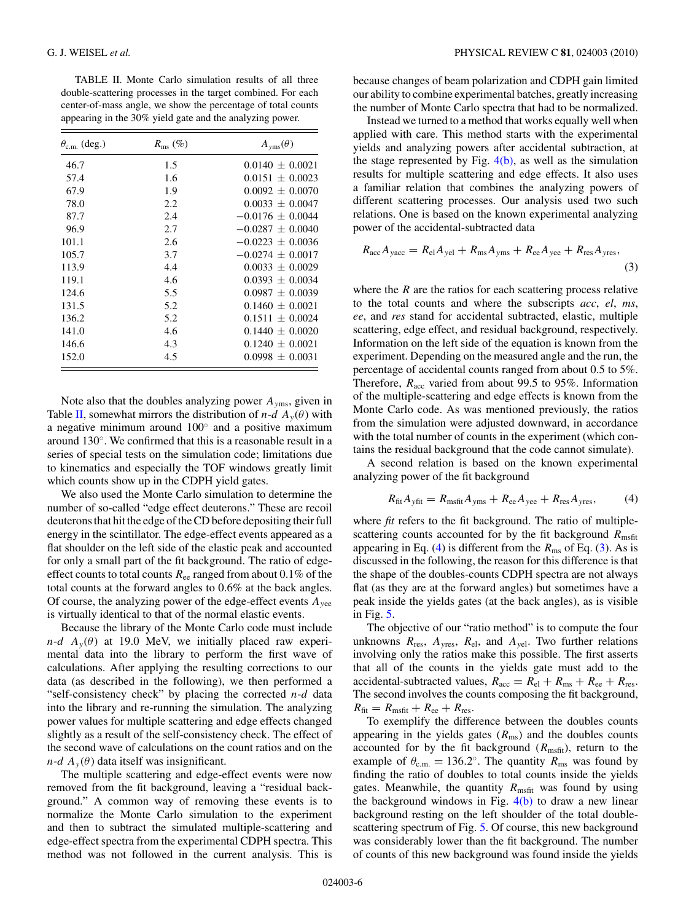<span id="page-5-0"></span>TABLE II. Monte Carlo simulation results of all three double-scattering processes in the target combined. For each center-of-mass angle, we show the percentage of total counts appearing in the 30% yield gate and the analyzing power.

| $\theta_{\rm c.m.}$ (deg.) | $R_{\rm ms}$ (%) | $A_{\text{vms}}(\theta)$ |
|----------------------------|------------------|--------------------------|
| 46.7                       | 1.5              | $0.0140 \pm 0.0021$      |
| 57.4                       | 1.6              | $0.0151 \pm 0.0023$      |
| 67.9                       | 1.9              | $0.0092 \pm 0.0070$      |
| 78.0                       | 2.2              | $0.0033 \pm 0.0047$      |
| 87.7                       | 2.4              | $-0.0176 \pm 0.0044$     |
| 96.9                       | 2.7              | $-0.0287 \pm 0.0040$     |
| 101.1                      | 2.6              | $-0.0223 \pm 0.0036$     |
| 105.7                      | 3.7              | $-0.0274 \pm 0.0017$     |
| 113.9                      | 4.4              | $0.0033 \pm 0.0029$      |
| 119.1                      | 4.6              | $0.0393 \pm 0.0034$      |
| 124.6                      | 5.5              | $0.0987 \pm 0.0039$      |
| 131.5                      | 5.2              | $0.1460 \pm 0.0021$      |
| 136.2                      | 5.2              | $0.1511 \pm 0.0024$      |
| 141.0                      | 4.6              | $0.1440 \pm 0.0020$      |
| 146.6                      | 4.3              | $0.1240 \pm 0.0021$      |
| 152.0                      | 4.5              | $0.0998 \pm 0.0031$      |

Note also that the doubles analyzing power *Ay*ms, given in Table II, somewhat mirrors the distribution of  $n-d$   $A_y(\theta)$  with a negative minimum around 100◦ and a positive maximum around 130◦. We confirmed that this is a reasonable result in a series of special tests on the simulation code; limitations due to kinematics and especially the TOF windows greatly limit which counts show up in the CDPH yield gates.

We also used the Monte Carlo simulation to determine the number of so-called "edge effect deuterons." These are recoil deuterons that hit the edge of the CD before depositing their full energy in the scintillator. The edge-effect events appeared as a flat shoulder on the left side of the elastic peak and accounted for only a small part of the fit background. The ratio of edgeeffect counts to total counts *R*ee ranged from about 0.1% of the total counts at the forward angles to 0.6% at the back angles. Of course, the analyzing power of the edge-effect events *Ay*ee is virtually identical to that of the normal elastic events.

Because the library of the Monte Carlo code must include *n*-*d*  $A_v(\theta)$  at 19.0 MeV, we initially placed raw experimental data into the library to perform the first wave of calculations. After applying the resulting corrections to our data (as described in the following), we then performed a "self-consistency check" by placing the corrected *n*-*d* data into the library and re-running the simulation. The analyzing power values for multiple scattering and edge effects changed slightly as a result of the self-consistency check. The effect of the second wave of calculations on the count ratios and on the  $n-d \, A_y(\theta)$  data itself was insignificant.

The multiple scattering and edge-effect events were now removed from the fit background, leaving a "residual background." A common way of removing these events is to normalize the Monte Carlo simulation to the experiment and then to subtract the simulated multiple-scattering and edge-effect spectra from the experimental CDPH spectra. This method was not followed in the current analysis. This is

because changes of beam polarization and CDPH gain limited our ability to combine experimental batches, greatly increasing the number of Monte Carlo spectra that had to be normalized.

Instead we turned to a method that works equally well when applied with care. This method starts with the experimental yields and analyzing powers after accidental subtraction, at the stage represented by Fig.  $4(b)$ , as well as the simulation results for multiple scattering and edge effects. It also uses a familiar relation that combines the analyzing powers of different scattering processes. Our analysis used two such relations. One is based on the known experimental analyzing power of the accidental-subtracted data

$$
R_{\rm acc}A_{\rm vac} = R_{\rm el}A_{\rm vel} + R_{\rm ms}A_{\rm yms} + R_{\rm ee}A_{\rm yee} + R_{\rm res}A_{\rm yres},\tag{3}
$$

where the *R* are the ratios for each scattering process relative to the total counts and where the subscripts *acc*, *el*, *ms*, *ee*, and *res* stand for accidental subtracted, elastic, multiple scattering, edge effect, and residual background, respectively. Information on the left side of the equation is known from the experiment. Depending on the measured angle and the run, the percentage of accidental counts ranged from about 0.5 to 5%. Therefore,  $R_{\text{acc}}$  varied from about 99.5 to 95%. Information of the multiple-scattering and edge effects is known from the Monte Carlo code. As was mentioned previously, the ratios from the simulation were adjusted downward, in accordance with the total number of counts in the experiment (which contains the residual background that the code cannot simulate).

A second relation is based on the known experimental analyzing power of the fit background

$$
R_{\text{fit}}A_{\text{yfit}} = R_{\text{msfit}}A_{\text{yms}} + R_{\text{ee}}A_{\text{yee}} + R_{\text{res}}A_{\text{yres}},\tag{4}
$$

where *fit* refers to the fit background. The ratio of multiplescattering counts accounted for by the fit background *R*<sub>msfit</sub> appearing in Eq. (4) is different from the  $R_{\text{ms}}$  of Eq. (3). As is discussed in the following, the reason for this difference is that the shape of the doubles-counts CDPH spectra are not always flat (as they are at the forward angles) but sometimes have a peak inside the yields gates (at the back angles), as is visible in Fig. [5.](#page-4-0)

The objective of our "ratio method" is to compute the four unknowns  $R_{res}$ ,  $A_{yres}$ ,  $R_{el}$ , and  $A_{vel}$ . Two further relations involving only the ratios make this possible. The first asserts that all of the counts in the yields gate must add to the accidental-subtracted values,  $R_{\text{acc}} = R_{\text{el}} + R_{\text{ms}} + R_{\text{ee}} + R_{\text{res}}$ . The second involves the counts composing the fit background,  $R_{\text{fit}} = R_{\text{msfit}} + R_{\text{ee}} + R_{\text{res}}.$ 

To exemplify the difference between the doubles counts appearing in the yields gates  $(R_{\text{ms}})$  and the doubles counts accounted for by the fit background  $(R_{msfit})$ , return to the example of  $\theta_{\text{c.m.}} = 136.2^\circ$ . The quantity  $R_{\text{ms}}$  was found by finding the ratio of doubles to total counts inside the yields gates. Meanwhile, the quantity  $R_{\text{msfit}}$  was found by using the background windows in Fig.  $4(b)$  to draw a new linear background resting on the left shoulder of the total doublescattering spectrum of Fig. [5.](#page-4-0) Of course, this new background was considerably lower than the fit background. The number of counts of this new background was found inside the yields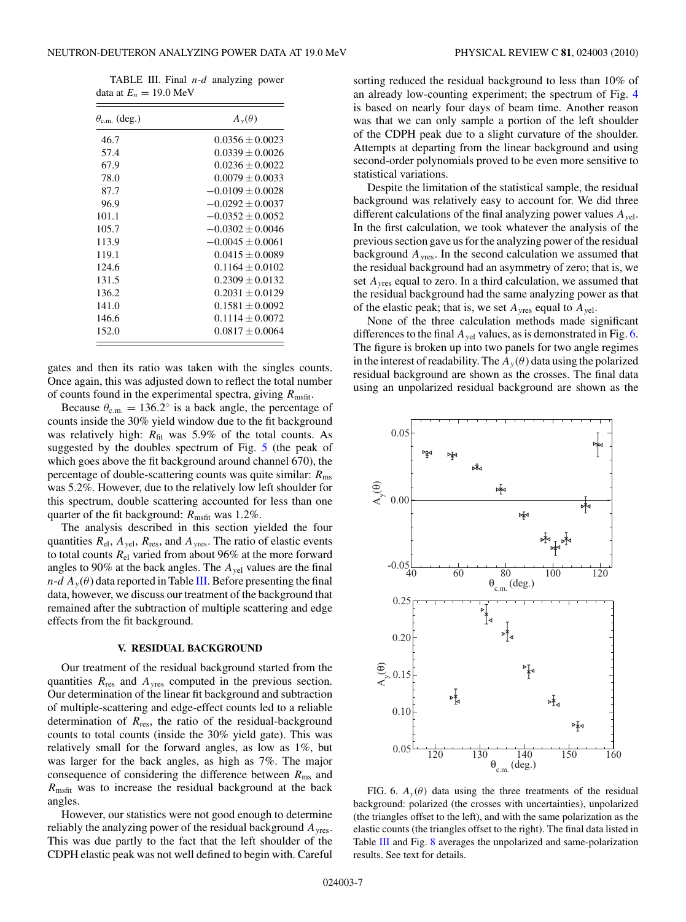<span id="page-6-0"></span>TABLE III. Final *n*-*d* analyzing power data at  $E_n = 19.0 \text{ MeV}$ 

| $\theta_{\rm c.m.}$ (deg.) | $A_{v}(\theta)$      |
|----------------------------|----------------------|
| 46.7                       | $0.0356 \pm 0.0023$  |
| 57.4                       | $0.0339 \pm 0.0026$  |
| 67.9                       | $0.0236 \pm 0.0022$  |
| 78.0                       | $0.0079 \pm 0.0033$  |
| 87.7                       | $-0.0109 \pm 0.0028$ |
| 96.9                       | $-0.0292 \pm 0.0037$ |
| 101.1                      | $-0.0352 \pm 0.0052$ |
| 105.7                      | $-0.0302 \pm 0.0046$ |
| 113.9                      | $-0.0045 \pm 0.0061$ |
| 119.1                      | $0.0415 \pm 0.0089$  |
| 124.6                      | $0.1164 \pm 0.0102$  |
| 131.5                      | $0.2309 \pm 0.0132$  |
| 136.2                      | $0.2031 \pm 0.0129$  |
| 141.0                      | $0.1581 \pm 0.0092$  |
| 146.6                      | $0.1114 \pm 0.0072$  |
| 152.0                      | $0.0817 \pm 0.0064$  |

gates and then its ratio was taken with the singles counts. Once again, this was adjusted down to reflect the total number of counts found in the experimental spectra, giving  $R_{\text{msfit}}$ .

Because  $\theta_{c.m.} = 136.2^\circ$  is a back angle, the percentage of counts inside the 30% yield window due to the fit background was relatively high:  $R_{\text{fit}}$  was 5.9% of the total counts. As suggested by the doubles spectrum of Fig. [5](#page-4-0) (the peak of which goes above the fit background around channel 670), the percentage of double-scattering counts was quite similar: *R*ms was 5.2%. However, due to the relatively low left shoulder for this spectrum, double scattering accounted for less than one quarter of the fit background:  $R_{\text{msfit}}$  was 1.2%.

The analysis described in this section yielded the four quantities  $R_{el}$ ,  $A_{vel}$ ,  $R_{res}$ , and  $A_{yres}$ . The ratio of elastic events to total counts *R*el varied from about 96% at the more forward angles to 90% at the back angles. The *Ay*el values are the final  $n-d A_y(\theta)$  data reported in Table III. Before presenting the final data, however, we discuss our treatment of the background that remained after the subtraction of multiple scattering and edge effects from the fit background.

#### **V. RESIDUAL BACKGROUND**

Our treatment of the residual background started from the quantities  $R_{res}$  and  $A_{vres}$  computed in the previous section. Our determination of the linear fit background and subtraction of multiple-scattering and edge-effect counts led to a reliable determination of  $R_{res}$ , the ratio of the residual-background counts to total counts (inside the 30% yield gate). This was relatively small for the forward angles, as low as 1%, but was larger for the back angles, as high as 7%. The major consequence of considering the difference between  $R_{\text{ms}}$  and *R*msfit was to increase the residual background at the back angles.

However, our statistics were not good enough to determine reliably the analyzing power of the residual background *Ay*res. This was due partly to the fact that the left shoulder of the CDPH elastic peak was not well defined to begin with. Careful

sorting reduced the residual background to less than 10% of an already low-counting experiment; the spectrum of Fig. [4](#page-4-0) is based on nearly four days of beam time. Another reason was that we can only sample a portion of the left shoulder of the CDPH peak due to a slight curvature of the shoulder. Attempts at departing from the linear background and using second-order polynomials proved to be even more sensitive to statistical variations.

Despite the limitation of the statistical sample, the residual background was relatively easy to account for. We did three different calculations of the final analyzing power values *Ay*el. In the first calculation, we took whatever the analysis of the previous section gave us for the analyzing power of the residual background *Ay*res. In the second calculation we assumed that the residual background had an asymmetry of zero; that is, we set *Ay*res equal to zero. In a third calculation, we assumed that the residual background had the same analyzing power as that of the elastic peak; that is, we set  $A_{\text{vres}}$  equal to  $A_{\text{vel}}$ .

None of the three calculation methods made significant differences to the final  $A_{vel}$  values, as is demonstrated in Fig. 6. The figure is broken up into two panels for two angle regimes in the interest of readability. The  $A_y(\theta)$  data using the polarized residual background are shown as the crosses. The final data using an unpolarized residual background are shown as the



FIG. 6.  $A_y(\theta)$  data using the three treatments of the residual background: polarized (the crosses with uncertainties), unpolarized (the triangles offset to the left), and with the same polarization as the elastic counts (the triangles offset to the right). The final data listed in Table III and Fig. [8](#page-7-0) averages the unpolarized and same-polarization results. See text for details.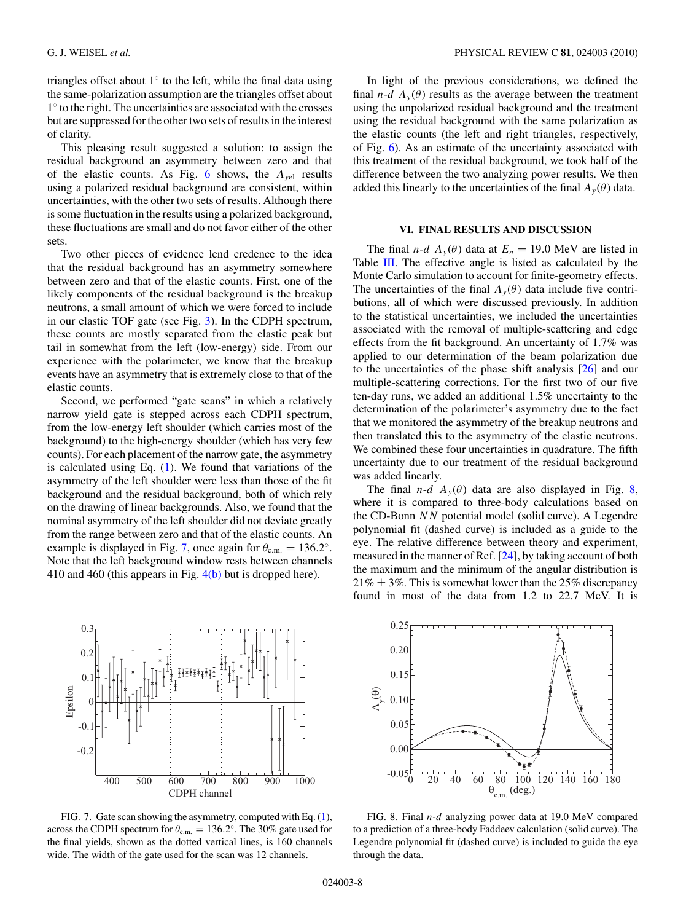<span id="page-7-0"></span>triangles offset about  $1<sup>°</sup>$  to the left, while the final data using the same-polarization assumption are the triangles offset about 1◦ to the right. The uncertainties are associated with the crosses but are suppressed for the other two sets of results in the interest of clarity.

This pleasing result suggested a solution: to assign the residual background an asymmetry between zero and that of the elastic counts. As Fig. [6](#page-6-0) shows, the *Ay*el results using a polarized residual background are consistent, within uncertainties, with the other two sets of results. Although there is some fluctuation in the results using a polarized background, these fluctuations are small and do not favor either of the other sets.

Two other pieces of evidence lend credence to the idea that the residual background has an asymmetry somewhere between zero and that of the elastic counts. First, one of the likely components of the residual background is the breakup neutrons, a small amount of which we were forced to include in our elastic TOF gate (see Fig. [3\)](#page-3-0). In the CDPH spectrum, these counts are mostly separated from the elastic peak but tail in somewhat from the left (low-energy) side. From our experience with the polarimeter, we know that the breakup events have an asymmetry that is extremely close to that of the elastic counts.

Second, we performed "gate scans" in which a relatively narrow yield gate is stepped across each CDPH spectrum, from the low-energy left shoulder (which carries most of the background) to the high-energy shoulder (which has very few counts). For each placement of the narrow gate, the asymmetry is calculated using Eq.  $(1)$ . We found that variations of the asymmetry of the left shoulder were less than those of the fit background and the residual background, both of which rely on the drawing of linear backgrounds. Also, we found that the nominal asymmetry of the left shoulder did not deviate greatly from the range between zero and that of the elastic counts. An example is displayed in Fig. 7, once again for  $\theta_{\text{c.m.}} = 136.2^\circ$ . Note that the left background window rests between channels 410 and 460 (this appears in Fig. [4\(b\)](#page-4-0) but is dropped here).



FIG. 7. Gate scan showing the asymmetry, computed with Eq. [\(1\)](#page-2-0), across the CDPH spectrum for  $\theta_{c.m.} = 136.2^\circ$ . The 30% gate used for the final yields, shown as the dotted vertical lines, is 160 channels wide. The width of the gate used for the scan was 12 channels.

In light of the previous considerations, we defined the final *n*-*d*  $A_y(\theta)$  results as the average between the treatment using the unpolarized residual background and the treatment using the residual background with the same polarization as the elastic counts (the left and right triangles, respectively, of Fig. [6\)](#page-6-0). As an estimate of the uncertainty associated with this treatment of the residual background, we took half of the difference between the two analyzing power results. We then added this linearly to the uncertainties of the final  $A_y(\theta)$  data.

#### **VI. FINAL RESULTS AND DISCUSSION**

The final *n*-*d*  $A_y(\theta)$  data at  $E_n = 19.0$  MeV are listed in Table [III.](#page-6-0) The effective angle is listed as calculated by the Monte Carlo simulation to account for finite-geometry effects. The uncertainties of the final  $A_y(\theta)$  data include five contributions, all of which were discussed previously. In addition to the statistical uncertainties, we included the uncertainties associated with the removal of multiple-scattering and edge effects from the fit background. An uncertainty of 1.7% was applied to our determination of the beam polarization due to the uncertainties of the phase shift analysis [\[26\]](#page-8-0) and our multiple-scattering corrections. For the first two of our five ten-day runs, we added an additional 1.5% uncertainty to the determination of the polarimeter's asymmetry due to the fact that we monitored the asymmetry of the breakup neutrons and then translated this to the asymmetry of the elastic neutrons. We combined these four uncertainties in quadrature. The fifth uncertainty due to our treatment of the residual background was added linearly.

The final *n*-*d*  $A_y(\theta)$  data are also displayed in Fig. 8, where it is compared to three-body calculations based on the CD-Bonn *NN* potential model (solid curve). A Legendre polynomial fit (dashed curve) is included as a guide to the eye. The relative difference between theory and experiment, measured in the manner of Ref. [\[24\]](#page-8-0), by taking account of both the maximum and the minimum of the angular distribution is  $21\% \pm 3\%$ . This is somewhat lower than the 25% discrepancy found in most of the data from 1.2 to 22.7 MeV. It is



FIG. 8. Final *n*-*d* analyzing power data at 19.0 MeV compared to a prediction of a three-body Faddeev calculation (solid curve). The Legendre polynomial fit (dashed curve) is included to guide the eye through the data.